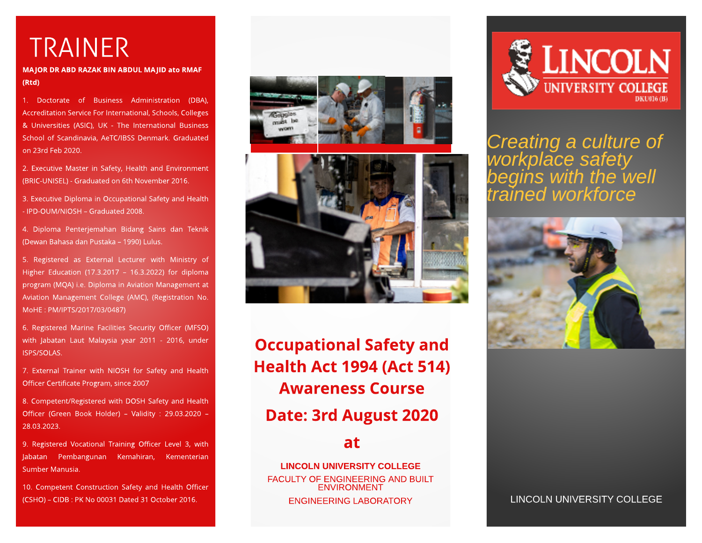## TRAINER

MAJOR DR ABD RAZAK BIN ABDUL MAJID ato RMAF (Rt d)

1. Doctorate of Business Administration (DBA), Accreditation Service For International, Schools, Colleges & Universities (ASIC), UK - The International Business School of Scandinavia, AeTC/IBSS Denmark. Graduated on 23rd Feb 2020.

2. Executive Master in Safety, Health and Environment (BRIC-UNISEL) - Graduated on 6th November 2016.

3. Executive Diploma in Occupational Safety and Health - IPD-OUM/NIOSH - Graduated 2008.

4. Diploma Penterjemahan Bidang Sains dan Teknik (Dewan Bahasa dan Pustaka - 1990) Lulus.

5. Registered as External Lecturer with Ministry of Higher Education (17.3.2017 - 16.3.2022) for diploma program (MQA) i.e. Diploma in Aviation Management at Aviation Management College (AMC), (Registration No. MoHE: PM/IPTS/2017/03/0487)

6. Registered Marine Facilities Security Officer (MFSO) with Jabatan Laut Malaysia year 2011 - 2016, under ISPS/SOLAS.

7. External Trainer with NIOSH for Safety and Health Officer Certificate Program, since 2007

8. Competent/Registered with DOSH Safety and Health Officer (Green Book Holder) - Validity : 29.03.2020 -28.03.2023.

9. Registered Vocational Training Officer Level 3, with Jabatan Pembangunan Kemahiran, Kementerian Sumber Manusia.

10. Competent Construction Safety and Health Officer (CSHO) ? CIDB : PK No 00031 Dated 31 October 2016.





**Occupational Safety and Health Act 1994 (Act 514)** Awareness Course Date: 3rd August 2020

## at

LINCOLN UNIVERSITY COLLEGE FACULTY OF ENGINEERING AND BUILT ENVIRONMENT



**Creating a culture of workplace safety begins with the well trained workforce**



ENGINEERING LABORATORY LINCOLN UNIVERSITY COLLEGE